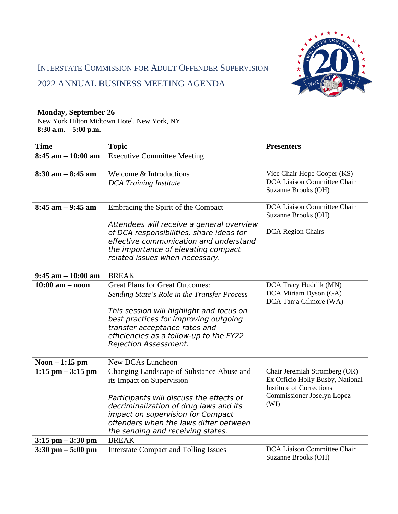

# INTERSTATE COMMISSION FOR ADULT OFFENDER SUPERVISION

## 2022 ANNUAL BUSINESS MEETING AGENDA

## **Monday, September 26**

New York Hilton Midtown Hotel, New York, NY **8:30 a.m. – 5:00 p.m.**

| <b>Time</b>           | <b>Topic</b>                                                                                                                                                                                             | <b>Presenters</b>                                                                                    |
|-----------------------|----------------------------------------------------------------------------------------------------------------------------------------------------------------------------------------------------------|------------------------------------------------------------------------------------------------------|
| $8:45$ am $-10:00$ am | <b>Executive Committee Meeting</b>                                                                                                                                                                       |                                                                                                      |
| $8:30$ am $-8:45$ am  | <b>Welcome &amp; Introductions</b><br><b>DCA Training Institute</b>                                                                                                                                      | Vice Chair Hope Cooper (KS)<br>DCA Liaison Committee Chair<br>Suzanne Brooks (OH)                    |
| $8:45$ am $-9:45$ am  | Embracing the Spirit of the Compact                                                                                                                                                                      | DCA Liaison Committee Chair<br>Suzanne Brooks (OH)                                                   |
|                       | Attendees will receive a general overview<br>of DCA responsibilities, share ideas for<br>effective communication and understand<br>the importance of elevating compact<br>related issues when necessary. | <b>DCA Region Chairs</b>                                                                             |
| $9:45$ am $-10:00$ am | <b>BREAK</b>                                                                                                                                                                                             |                                                                                                      |
| $10:00$ am $-$ noon   | <b>Great Plans for Great Outcomes:</b><br>Sending State's Role in the Transfer Process                                                                                                                   | DCA Tracy Hudrlik (MN)<br>DCA Miriam Dyson (GA)<br>DCA Tanja Gilmore (WA)                            |
|                       | This session will highlight and focus on<br>best practices for improving outgoing<br>transfer acceptance rates and<br>efficiencies as a follow-up to the FY22<br><b>Rejection Assessment.</b>            |                                                                                                      |
| Noon $-1:15$ pm       | New DCAs Luncheon                                                                                                                                                                                        |                                                                                                      |
| $1:15$ pm $-3:15$ pm  | Changing Landscape of Substance Abuse and<br>its Impact on Supervision                                                                                                                                   | Chair Jeremiah Stromberg (OR)<br>Ex Officio Holly Busby, National<br><b>Institute of Corrections</b> |
|                       | Participants will discuss the effects of<br>decriminalization of drug laws and its<br>impact on supervision for Compact<br>offenders when the laws differ between<br>the sending and receiving states.   | Commissioner Joselyn Lopez<br>(WI)                                                                   |
| $3:15$ pm $-3:30$ pm  | <b>BREAK</b>                                                                                                                                                                                             |                                                                                                      |
| $3:30$ pm $-5:00$ pm  | <b>Interstate Compact and Tolling Issues</b>                                                                                                                                                             | DCA Liaison Committee Chair<br>Suzanne Brooks (OH)                                                   |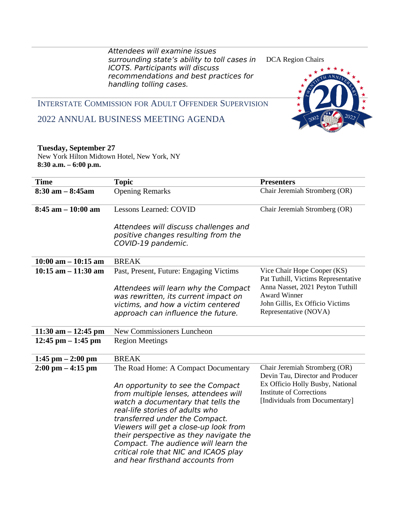Attendees will examine issues surrounding state's ability to toll cases in ICOTS. Participants will discuss recommendations and best practices for handling tolling cases.





INTERSTATE COMMISSION FOR ADULT OFFENDER SUPERVISION

## 2022 ANNUAL BUSINESS MEETING AGENDA

#### **Tuesday, September 27**

New York Hilton Midtown Hotel, New York, NY **8:30 a.m. – 6:00 p.m.**

| <b>Time</b>                         | <b>Topic</b>                                                                                                                                                                                                                                                                                                                                                                                                                         | <b>Presenters</b>                                                                                                                                                          |
|-------------------------------------|--------------------------------------------------------------------------------------------------------------------------------------------------------------------------------------------------------------------------------------------------------------------------------------------------------------------------------------------------------------------------------------------------------------------------------------|----------------------------------------------------------------------------------------------------------------------------------------------------------------------------|
| $8:30$ am $-8:45$ am                | <b>Opening Remarks</b>                                                                                                                                                                                                                                                                                                                                                                                                               | Chair Jeremiah Stromberg (OR)                                                                                                                                              |
| $8:45$ am $-10:00$ am               | Lessons Learned: COVID                                                                                                                                                                                                                                                                                                                                                                                                               | Chair Jeremiah Stromberg (OR)                                                                                                                                              |
|                                     | Attendees will discuss challenges and<br>positive changes resulting from the<br>COVID-19 pandemic.                                                                                                                                                                                                                                                                                                                                   |                                                                                                                                                                            |
| $10:00$ am $- 10:15$ am             | <b>BREAK</b>                                                                                                                                                                                                                                                                                                                                                                                                                         |                                                                                                                                                                            |
| 10:15 am $-$ 11:30 am               | Past, Present, Future: Engaging Victims                                                                                                                                                                                                                                                                                                                                                                                              | Vice Chair Hope Cooper (KS)                                                                                                                                                |
|                                     | Attendees will learn why the Compact<br>was rewritten, its current impact on<br>victims, and how a victim centered<br>approach can influence the future.                                                                                                                                                                                                                                                                             | Pat Tuthill, Victims Representative<br>Anna Nasset, 2021 Peyton Tuthill<br><b>Award Winner</b><br>John Gillis, Ex Officio Victims<br>Representative (NOVA)                 |
| 11:30 am $-$ 12:45 pm               | New Commissioners Luncheon                                                                                                                                                                                                                                                                                                                                                                                                           |                                                                                                                                                                            |
| 12:45 pm $-$ 1:45 pm                | <b>Region Meetings</b>                                                                                                                                                                                                                                                                                                                                                                                                               |                                                                                                                                                                            |
| $1:45$ pm $- 2:00$ pm               | <b>BREAK</b>                                                                                                                                                                                                                                                                                                                                                                                                                         |                                                                                                                                                                            |
| $2:00 \text{ pm} - 4:15 \text{ pm}$ | The Road Home: A Compact Documentary<br>An opportunity to see the Compact<br>from multiple lenses, attendees will<br>watch a documentary that tells the<br>real-life stories of adults who<br>transferred under the Compact.<br>Viewers will get a close-up look from<br>their perspective as they navigate the<br>Compact. The audience will learn the<br>critical role that NIC and ICAOS play<br>and hear firsthand accounts from | Chair Jeremiah Stromberg (OR)<br>Devin Tau, Director and Producer<br>Ex Officio Holly Busby, National<br><b>Institute of Corrections</b><br>[Individuals from Documentary] |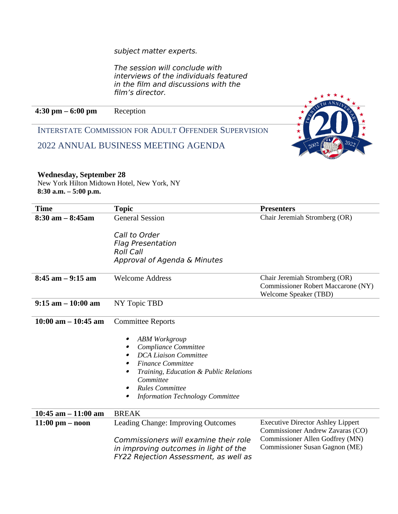subject matter experts.

The session will conclude with interviews of the individuals featured in the film and discussions with the film's director.

**4:30 pm – 6:00 pm** Reception

INTERSTATE COMMISSION FOR ADULT OFFENDER SUPERVISION

2022 ANNUAL BUSINESS MEETING AGENDA



## **Wednesday, September 28**

New York Hilton Midtown Hotel, New York, NY **8:30 a.m. – 5:00 p.m.**

| <b>Time</b>             | <b>Topic</b>                                                                                                                                                                                                                                                   | <b>Presenters</b>                                                                                                                                 |
|-------------------------|----------------------------------------------------------------------------------------------------------------------------------------------------------------------------------------------------------------------------------------------------------------|---------------------------------------------------------------------------------------------------------------------------------------------------|
| $8:30$ am $-8:45$ am    | <b>General Session</b>                                                                                                                                                                                                                                         | Chair Jeremiah Stromberg (OR)                                                                                                                     |
|                         | Call to Order<br><b>Flag Presentation</b><br><b>Roll Call</b><br>Approval of Agenda & Minutes                                                                                                                                                                  |                                                                                                                                                   |
| $8:45$ am $-9:15$ am    | <b>Welcome Address</b>                                                                                                                                                                                                                                         | Chair Jeremiah Stromberg (OR)<br><b>Commissioner Robert Maccarone (NY)</b><br>Welcome Speaker (TBD)                                               |
| $9:15$ am $-10:00$ am   | NY Topic TBD                                                                                                                                                                                                                                                   |                                                                                                                                                   |
| $10:00$ am $- 10:45$ am | <b>Committee Reports</b>                                                                                                                                                                                                                                       |                                                                                                                                                   |
|                         | <b>ABM Workgroup</b><br>$\bullet$<br>Compliance Committee<br><b>DCA Liaison Committee</b><br><b>Finance Committee</b><br>Training, Education & Public Relations<br>Committee<br><b>Rules Committee</b><br>$\bullet$<br><b>Information Technology Committee</b> |                                                                                                                                                   |
| $10:45$ am $-11:00$ am  | <b>BREAK</b>                                                                                                                                                                                                                                                   |                                                                                                                                                   |
| $11:00$ pm $-$ noon     | Leading Change: Improving Outcomes<br>Commissioners will examine their role<br>in improving outcomes in light of the<br>FY22 Rejection Assessment, as well as                                                                                                  | <b>Executive Director Ashley Lippert</b><br>Commissioner Andrew Zavaras (CO)<br>Commissioner Allen Godfrey (MN)<br>Commissioner Susan Gagnon (ME) |